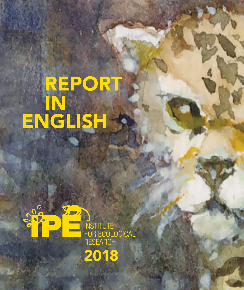# REPORT IN ENGLISH

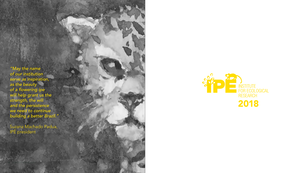2 | REPORT IN ENGLISH |



*"May the name of our institution serve as inspiration, as the beauty*  of a flowering ipe will help grant us the strength, the will *and the persistence*  we need to continue building a better Brazil."

Suzana Machado Padua, IPÊ president

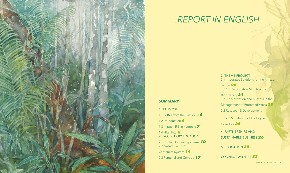## SUMMARY

1. IPÊ IN 2018

1.1 Letter from the President *6*

1.2 Introduction *6*

1.3 Impact: IPÊ in numbers *7*

1.4 Highlihts *8* 2.PROJECTS BY LOCATION

2.1 Pontal Do Paranapanema *10* 2.2 Nazaré Paulista:

Cantareira System *14*

2.3 Pantanal and Cerrado *17*



## *.REPORT IN ENGLISH*

3. THEME PROJECT 3.1 Integrates Solutions for the Amazon

region *20* 3.1.1 Participative Monitoring of

Biodiversity *21* 3.1.2 Motivation and Success in the Management of Protected Areas *23*

3.2 Research & Development

 3.2.1 Monitoring of Ecological Corridors *25*

4. PARTNERSHIPS AND

SUSTAINABLE BUSINESS *26*

### 5. EDUCATION *28*

## CONNECT WITH IPÊ *33*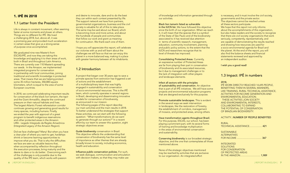I hope you will appreciate this report, will celebrate our victories with us and will learn about the challenges we still face so that we can enjoy this planet in a more balanced way, making it a place with greater harmony between all its inhabitants.

and desire to innovate, dare and to do the best they can within each context presented by life. The support network we have from partners, governmental organizations, business and the civil society is valuable for all of this to take place. The same may be said about our Board, which is becoming more and more active, and about the hundreds of people and communities that follow our work and grant us meaning for continuation. We thank each one of them.

#### 1.2 Introduction

Guide biodiversity conservation in Brazil. This objective reflects the understanding that conservation of biodiversity has the same level of importance as other themes that are already broadly known to society, including economics, health and education.

A project that began over 30 years ago to save a primate species from extinction has triggered a set of actions and the establishment of a multidisciplinary team that was highly engaged in sustainability and conservation of socio-environmental resources. This is the IPÊ team, which currently operates in several regions in Brazil, developing and disseminating innovative models for conservation of biodiversity, as announced in our mission. The following pages of this report describe our main activities and the main results in 2018. To better understand the strategies that support these activities, we can start with the following question: *"What transformations do we want to generate through our actions?"* In a recent effort by our team to answer this question, eight strategic objectives arose:

Influence public conservation policies. For such, we seek dialogue, communication and articulation with decision-makers, so that they may make use

## 1. IPÊ IN 2018

#### 1.1 Letter from the President

Life is always in constant movement, often seeming faster at some moments and slower at others. Things are no different for IPÊ. We lived a challenging 2018, but, above all, it was a promising year and provided much acceleration in certain areas that give us a strong sense of purpose once accomplished.

We graduated nine new Master's from ESCAS/IPÊ, and now they are taking this knowledge and applying it to their areas of work, both in Brazil and throughout Latin America. There are currently over 110 Master's spreading our seeds. In the Amazon, we implemented integrated programs for conservation in partnership with local communities, joining traditional and scientific knowledge in protected areas. That means that we are helping protect some 35 million hectares, 350,000 square kilometers, which is equal to the area of some European countries.

In 2018, we continued celebrating important results for conservation of the black lion tamarin, the tapir and the Giant Armadillo, despite the continued pressure on their natural habitats and lives. The largest Atlantic Forest reforestation corridor continues growing and generating good results for many species, including humans. Finally, we ended the year with approval of a great program to benefit indigenous reservations and other protected areas in the Amazon: LIRA - Legado Integrado da Região Amazônica (Integrated Legacy of the Amazon Region).

Did we face challenges? Many! But when you have a clear plan of where you want to get, hardships shrink or become learning opportunities to improve what you do. That is why the difficulties we face are seen as valuable lessons that, when accompanied by reflection throughout the execution processes, bring maturity and the desire to dare or to do better. Overcoming each of the challenges is only possible due to the quality of the IPÊ team, which works with passion

of knowledge and information generated through our activities.

Black lion tamarin listed as vulnerable in the IUCN list. We have followed this objective since the birth of our organization. When we reach it, it will mean that the species that is a symbol of the State of São Paulo and of the biodiversity associated to it has received due attention in terms of scientific research, management, education, community involvement, planning and public policy actions, to the extent that the IUCN and researchers recognize that its level of threats has improved.

Consolidating Protected Areas. Currently, an expressive number of Protected Areas are far from playing their part in conservation of biodiversity and its associated resources, be it due to management challenges or to the lack of integration with other players and landscape elements.

Infect all sectors with the principles of sustainability and conservation. An objective that is part of all IPÊ initiatives. We still have some projects and environmental education programs that are designed exclusively for this purpose.

Promote sustainable landscapes. This is evident in the several ways we seek intervention in landscapes, like the restoration of forestry, the establishment of corridors, management of mosaics, and protected areas, among others.

Have transformation agents throughout Brazil. For this purpose, ESCAS, our school, has been playing a prominent part, with its several forms of training and knowledge multiplication in the areas of environmental conservation and sustainability.

Conserving biodiversity is our broadest strategic objective, and the one that contemplates all those mentioned above.

None of the strategic objectives mentioned may be reached by activities that are exclusive to our organization. An integrated effort

is necessary, and it must involve the civil society, governments and the private sector. The objectives cannot be reached unless all these sectors participate. We hope that this report not only informs about the accomplishments of this organization, but also helps readers and the society to recognize that there are civil society organizations that work seriously, competently, representatively, and are capable of demonstrating the results reached and showing how resources are used for a socio-environmental agenda for Brazil and the planet. At the end of the report, you will also find the balance sheets and financial statements reviewed and approved by an independent auditor.

I wish you a good read!

#### 1.3 Impact: IPÊ in numbers

#### 2018,

IPÊ WORK DIRECTLY REACHED 14,695 PEOPLE, BENEFITING THEM IN SEVERAL MANNERS, LIKE TRAINING, RURAL TECHNICAL ASSISTANCE, ACTIVITIES FOR INCOME GENERATION AND ENVIRONMENTAL EDUCATION. THESE ACTIVITIES JOIN SOCIETY AND ENVIRONMENTAL INTERESTS, COLLABORATING TO EXPAND THE POTENTIAL OF CONSERVATION OF BRAZILIAN BIODIVERSITY.

#### ACTIVITY...NUMBER OF PEOPLE BENEFITED

RURAL

| $\cdots$                 |
|--------------------------|
| TECHNICAL ASSISTANCE 421 |
|                          |
|                          |
| <b>SUSTAINABLE</b>       |
| <b>ALTERNATIVES</b>      |
|                          |
|                          |
|                          |
| <b>INTFGRATED</b>        |
|                          |
| <b>SOLUTIONS</b>         |
| FOR CONSERVATION         |
| OF PROTECTED AREAS       |
|                          |
| IN THE AMAZON 1,989      |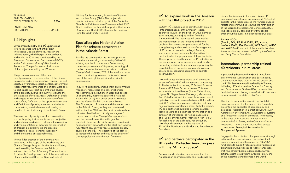| <b>TRAINING</b>                 |  |
|---------------------------------|--|
| AND EDUCATION                   |  |
| <b>FOR SUSTAINABILITY 2,586</b> |  |

ENVIRONMENTAL EDUCATION......................................11,488

#### 1.4 Highlights

Environment Ministry and IPÊ update map of priority areas in the Atlantic Forest The second Update of Priority Areas in the Atlantic Forest, which began in November 2017, and ended in 2018, was coordinated by the Ecosystem Conservation Department (DECO) at the Environment Ministry's Biodiversity Secretariat. The performance of all phases of the project was led by the IPÊ team.

The process or creation of this new priority-area map for conservation of the biome was performed in a participative manner. The civil society, universities, research centers, government representatives, companies and citizens were able to participate in at least one of the five phases of this great study: Public Inquiry to evaluate the latest update of Priority Areas; Definition of goals and targets for conservation; Definition of the cost surface; Definition of the opportunity surface; and Definition of priority areas and activities for conservation, sustainable use and sharing of benefits of the biodiversity of the Atlantic Forest.

The selection of priority areas for conservation is a public policy instrument to support objective and participative decision making in the planning and implementation of activities for conservation of Brazilian biodiversity, like the creation of Protected Areas, licensing, inspection and the fostering of sustainable use.

The work for creation of the new map was developed in the scope of the Biodiversity and Climate Change Program for the Atlantic Forest, coordinated by the Environment Ministry in the context of Brazil-Germany Cooperation for Sustainable Development, part of the International Climate Initiative (IKI) of the German Federal

### IPÊ to expand work in the Amazon with the LIRA project in 2019

Ministry for Environment, Protection of Nature and Nuclear Safety (BMU). The project also counts on the technical support of the Deutsche Gesellscha fürInternaonale Zusammenarbeit (GIZ) GmbH and has the financial support of the German Development Bank (KfW), through the Brazilian Fund for Biodiversity (Funbio).

#### Specialists plot National Action Plan for primate conservation in the Atlantic Forest

Brazil is the country with the greatest primate diversity in the world, concentrating 20% of all existing species. In the Atlantic Forest alone, there are approximately 24 species, including all the lion tamarins *(Leontopithecus)* and muriquis *(Brachyteles)*. However, 70% of this wealth is under threat, contributing to make the Atlantic Forest one of the main global priorities for primate conservation.

In 2018, 45 specialists, among them environmental managers, researchers and conservationists, representing 33 institutions in Brazil and abroad (including IPÊ), met to elaborate the National Action Plan (PAN) for Conservation of Primates and the Maned Sloth in the Atlantic Forest. The PAN targets 13 primates and the maned sloth, in the Atlantic Forest, as they are threatened with extinction. Of these, the most threatened are primates classified as "critically endangered": the northern muriqui *(Brachyteles hypoxanthus)* and the brown howler *(Alouatta guariba guariba)*. There are also eight species considered "endangered", among them the black lion tamarin *(Leontopithecus chrysopygus)*, a species broadly studied by the IPÊ. The objective of the plan is to increase the habitat and reduce the decline of these populations over the next five years.

In 2019, IPÊ is scheduled to start the LIRA project - Integrated Legacy of the Amazon Region, approved in 2018, by the Brazilian Development Bank (BNDES), with R\$ 45 million from the Amazon Fund. The resources will be turned to the management of the initiative and to the public call for projects to promote work for the strengthening and consolidation of management of 83 protected areas in the Legal Amazon, which also develop sustainable alternatives for production for the populations of these territories. The proposal is directly related to IPÊ activities in the biome, which aims to conserve biodiversity, promoting sustainable landscapes, supporting the consolidation of protected areas and involving several socio-economic segments to operate in conjunction.

LIRA will select and support up to 12 projects in an area of around 80 million hectares, comprising 41 Native Indian Land Areas, 20 Federal Protected Areas and 22 State Protected Areas. This area includes six regional blocks (Xingu, Calha Norte, Higher Rio Negro, Lower Rio Negro, Madeira and Rondônia/Purus), and it is possible for selection of up to two blocks, to receive between R\$ 1.5 million and R\$ 6 million to implement activities that may help consolidate protected areas. With the project, IPÊ and partners should also promote courses, technical visits and exchanges for integration and diffusion of knowledge, as well as elaboration of a "Socio-environmental Promotion Plan" (PPS) for each one of the six blocks. For execution, LIRA should also count on the support of R\$ 16.35 million from the Gordon and Betty Moore Foundation.

#### IPÊ and partners participated in the IX Brazilian Protected Area Congress with the "Amazon Space"

Knowing, understanding and representing the Amazon is an enormous challenge. To discuss this

biome that is so multicultural and diverse, IPÊ and several scientific and environmental NGOs that operate in this region created the "Amazon Space: forests and communities", during the ninth edition of the Brazilian Protected Area Congress (CBUC). The space directly attracted over 500 people throughout the event, in Florianópolis (SC), Brazil.

Partner NGOs (Funbio, FVA, IDESAM, IDSM, IEB, Imazon, Imaflora, IPAM, ISA, Kanindé, WCS Brasil , WHRC and WWF Brasil) are part of the so-called Andes-Amazon Initiative, released in 2003 by the Gordon and Betty Moore Foundation.

#### International partnership trained 40 residents in rural areas

A partnership between the ESCAS - Faculty for Environmental Conservation and Sustainability, the Semeando Água (Sowing Water) project and the ELTI - Environmental Leadership & Training Initiative, of Yale University's School for Forestry and Environmental Studies (USA), promoted two field studies (each lasting a week) with 40 residents in rural areas in the state of São Paulo.

The first, for rural settlements in the Pontal do Paranapanema, in the far west of São Paulo state, presented the principles of agroecology and ecological restoration in a practical way, through Agroforestry Systems (SAFs), Silvopastoral systems and forestry restauration principles. The second, in the cities of Piracaia, Nazaré Paulista and Joanópolis (São Paulo), in the Cantareira System watershed. There, the participants had access to lessons on Ecological Restoration in Silvopastoral Systems.

Engaged in the protection of tropical forests through initiatives for conservation and restoration, the ELTI program (created with the support of ARCADIA fund) seeks to support viable projects by people and organization with proposals to recover landscapes that have already become degraded by human actions, as is the case with the Atlantic Forest, one of the most threatened biomes in the world.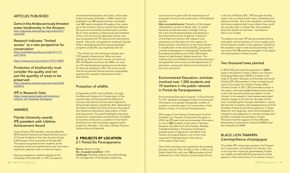#### **ARTICLES PUBLISHED**

Dams in the Andes seriously threaten water biodiversity in the Amazon http://advances.sciencemag.org/content/4/1/ eaao1642

#### Research indicates "limited access" as a new perspective for conservation https://onlinelibrary.wiley.com/doi/10.1111/

https://www.researchgate.net/institution/ Instituto de Pesquisas Ecologicas

conl.12616

https://www.pnas.org/content/115/51/12859

Protection of biodiversity must consider the quality and not just the quantity of areas to be preserved http://advances.sciencemag.org/content/4/8/ eaat2616

#### IPÊ in Research Gate

#### AWARDS

#### Florida University awards IPÊ president with Lifetime Achievement Award

Suzana Padua, IPÊ president, was awarded the 2018 Lifetime Achievement Award by the Council of Former Students of the Latin America Study (LAS) Center of the University of Florida (UF). The award recognizes former students at the university whose accomplishments over time had a significant regional, state or national impact.

Having completed a master's degree at the University of Florida (UF), in 1991, focused on environmental education and, later, a doctorate at the University of Brasília, in 2004, Suzana has published over 50 articles and has counselled over 30 master's students throughout her career, up to the moment. Due to actions that influence the socio-environmental transformation and the life of many students, professionals and members of the rural community, especially women, she was recognized with 17 national and international awards. Her work, alongside her husband, Claudio Padua, developing pioneering post-graduate programs at ESCAS, was inspired by the UF.

*"The Center for Latin American Studies and*  TCD greatly influenced us. When we were *setting up the short-term course curriculum at IPÊ, the Master's and even the MBA, we used our UF interdisciplinary experience as the basis*  for what we wanted to offer. This is how social *and environmental themes become inseparable, granting life a greater meaning and value,"* said Suzana.

#### Protection of wildlife

In September 2018, Patrícia Medici, through the National Initiative for Conservation of the Lowland Tapir (LTCI) received the William G. Conway International Conservation Significant Achievement Award, granted by AZA, delivered at the Yearly Conference of the American Zoological and Aquarium Association (Association of Zoos and Aquariums). The award highlights important projects for conservation and protection of wildlife around the world and is a coalition of five North American zoos that have been supporting the project for decades - Columbus, Disney, Houston, Jacksonville and Nashville.

## 2. PROJECTS BY LOCATION 2.1 Pontal Do Paranapanema

Biome: Atlantic Forest No. of people benefited: 1,910 Challenge: Develop systems and methodology for management of landscapes, balancing

socio-economic gains with the maintenance of ecosystem services and conservation of threatened species.

Main accomplishments: Plantation of the largest reforestation corridor in Brazil, with 1.2 million hectares and 20 kilometers in length, linking the main local Protected Areas and assisting in the transit and survival of species. Protection of the black lion tamarin with research and generation of information for the creation of public policies. Contribution to the improvement in classification in the red list (IUCN), going from critically endangered to endangered. Sustainable Businesses benefitting more than 200 people based on Agroforestry System practices. The institute has consolidated environmental education alongside the community and the department of education, causing the theme to become part of the city's curriculum.

#### Environmental Education: activities involved over 1,500 students and 70 teachers in the public network in Pontal do Paranapanema

Environmental Education Program "A Good Pontal For All" develops strategies to take environmental information to a greater and greater number of people in a priority region for conservation of the Atlantic Forest, in Pontal do Paranapanema.

With support from Disney Conservation Fund for the Black Lion Tamarin Conservation Program in 2018, the IPÊ team took environmental information to over 1,500 students in the cities of Teodoro Sampaio, Euclides da Cunha Paulista, Marabá, Presidente Epitácio, Primavera and Rosana, located close to fragments in the Black Lion Tamarin Ecological Station, one of the most important Protected Areas in the interior of the state of São Paulo.

One of the activities most awaited by the students this year was the Trilha do Morro hike, in Morro do Diabo State Park, with over 100 secondary school students from João Pinheiro Correia State School,

in the city of Rosana (SP). *"IPÊ brought the hilly region into our school with music, workshops and*  several activities. But it also resulted in something *that many students didn't even dream they could*  do one day, hike in a State Park. Few students *knew the wealth we had here,"* said director Vera Lucia Corghe.

Throughout the year, IPÊ also promoted training with public school teachers on how to apply socioenvironmental content in the classroom and bring the students closer to the local biodiversity. Vera was one of the 70 teaching managers in the region who participated in these courses.

#### Two thousand trees planted

In 2018, IPÊ promoted the plantation of 2000 trees in the Atlantic Forest in Black Lion Tamarin Ecological Reservation (ESEC), located in the cities of Teodoro Sampaio and Euclides da Cunha Paulista (SP). Reforestation in the ecological park is part of a project for climate change called Climate Crowd. In 2017, IPÊ promoted a study in the region, interviewing 33 residents and workers in the rural area about their perception on the climate. In the research, interviewees associated climate change to the last two decades of their lives, considering the changes identified in nature, like the lack of seasons, the disappearance and the mortality of species and the progression of pests. Based on this diagnosis, some local strategies for mitigation and adaptation to climate change were plotted, including the plantation of trees. The event had the support of Chico Mendes Biodiversity Conservation Institute (ICMBio) and the international WWF.

#### BLACK LION TAMARIN (Leontopithecus chrysopygus)

The oldest IPÊ conservation project, the Program for Conservation of the Black Lion Tamarin, has as its long-term objective guaranteeing at least two viable and self-sufficient populations of the species in their entire area of occurrence, living in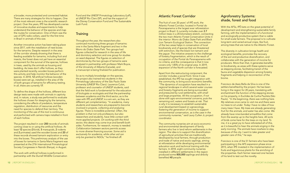a broader, more protected and connected habitat. There are many strategies for this to happen, One of the most relevant ones is the scientific research project. Over the years, IPÊ has developed a series of innovative studies and experiments to help understand the behavior of the species and map the routes for conservation. One of them was the use of GPS radio-collars, used for the first time in Brazil in animals of this size.

Another innovative action has been taking place since 2017, with the installation of nest boxes for the tamarins. Despite research in the area of the corridor already showing that there is feeding available for tamarins, including fruit and insects, the forest does not yet have an essential component for the survival of the species, hollows in trees, used by the animals as housing and bedding. As trees don't offer hollows, as they were planted recently, wooden boxes perform this activity and help monitor the behavior of the species. In 2018, 12 artificial hollows (wooden boxes) were set up, installed in the area of life of both groups of tamarins for efficiency testing. In all, there are currently 17.

To define the shape of the hollows, different box design tests were made with animals in captivity and, in nature, a study was performed to evaluate the hollows chosen for sleeping by the tamarins, considering the effects of predators, temperature regulation, distribution of resources and the need for species to defend their territory. The monitoring of the use of this tool is continuous and performed with camera traps installed in front of each hollow.

The project resulted in over 200 records of animals coming close to or using the artificial hollows. At least 12 species (3 birds, 5 marsupials, 2 rodents and 2 primates) used the wooden boxes and 20 of these records showed tamarin exploration or entry into the boxes. This preliminary analysis of the use of boxes for tamarins in Santa Maria fragment was presented at the 27th International Primatological Society Congresses in Nairobi (Kenya), in August.

The work with artificial hollows is performed in partnership with the Durrell Wildlife Conservation Fund and the UNESP Primatology Laboratory (LaP), at UNESP Rio Claro (SP), and has the support of the Disney Conservation Fund and The Sustainable Lush Fund.

#### **Training**

Throughout the year, the researchers also continued monitoring three groups of tamarins: one in the Santa Maria fragment and two in the Morro do Diabo State Park. Two groups had figures collected for research in the area of life and dormitory selection and one group for studies on seed dispersal. The figures on selection of dormitories by the two groups of tamarins were analyzed in partnership with professor Mark Boyce, of the University of Alberta (Canada), and a manuscript is being finalized for publication.

So as to multiply knowledge on the species, the project also trained two students in the Primatology Laboratory of the São Paulo State University (UNESP Rio Claro). Laurence Culot, professor and counselor of UNESP students, said that the field work is fundamental for the education of biologists or ecologists and that the partnership between academia and the third sector, as is the case with IPÊ and UNESP, is a win-win, as they are different yet complementary. *"In academia, many students and researchers are prepared to become involved in projects, collecting and analyzing*  figures. There is incredible potential. Often, the *problem is that not only professors, but also researchers and students, have little contact with*  more applied projects. On working with the third sector, this desire may come true and benefit both sides. Furthermore, for research, money is needed. *Collaboration between sectors permits access*  to more diverse financing sources. Some aid is *exclusively for academia, while other aid can*  only be granted to NGOs," he finished off.

#### Atlantic Forest Corridor

The fruit of over 20 years' of IPÊ work, the Atlantic Forest Corridor, located in Pontal do Paranapanema is the largest ever reforestation project in Brazil. It currently includes over 2.7 million trees in a 20-kilometere stretch, connecting the two main Atlantic Forest Conservation Units in the interior: Morro do Diabo State Park and Black Lion Tamarin Ecological Station. The connection of the two areas helps in conservation of local biodiversity and of species that are threatened with extinction, like the black lion tamarin and the jaguar. The initiative answers to the challenge of forestry fragmentation, which is the result of occupation of the Pontal do Paranapanema with no criteria, and the consequence is that it now covers only 1.85% of its original area. In 2019, expansion of the North corridor is forecasted.

Apart from the restructuring component, the corridor includes a social front. Since it was established, the IPÊ has sought integration with the community, to bring socio-economic benefits. *"The dynamics of occupation have resulted in a regional landscape in which several water courses and forestry fragments are being surrounded and pressured by rural settlements, with small*  and large properties. All this occupation, if not *done with agro-environmental concerns, puts the*  remaining soil, waters and forests at risk. That *is why it is necessary to establish sustainable rural development based on agroecology, fostering the generation of income to support environmental conservation, as is the case in the community nurseries,"* said Laury Cullen Jr, project coordinator.

The community nurseries aim at socio-economic and environmental development of family farmers who live in land reform settlements in the region. The idea is to support the diversification of agricultural activities that are traditionally developed by local farmers, through production and trade of native and exotic saplings, aiming at reforestation while developing environmental education work and technical training with the farmers. In 2018, eight community nurseries installed in different settlements in the region produced some 800,000 saplings and directly benefited 40 people.

#### Agroforestry Systems: shade, forest and food

With the AFSs, IPÊ bets on the great potential of development and strengthening sustainable family farming, with the implementation of a functional and ecologically productive system that is viable for small-scale farmers. The proposal is to cultivate long-term and varied annual crops, like fruit, among trees that are native to the Atlantic Forest.

The diversity in cultivation brings health and ecological benefits, promotes the recovery of the soil and productive diversification, and collaborates with the generation of income for producers. More than that, it generates benefits to biodiversity, as areas with these systems serve as stepping stones, facilitating transit of the fauna and vegetable dispersion among forestry fragments and helping in reconnection of the biome.

Francisco de Assis Bella da Silva is one of the settlers benefited by the project. He has been living in the region for 20 years, translating with enchantment the function of the stepping stones on his property, in Euclides da Cunha Paulista (São Paulo). "In the beginning, there was nothing here. *My relatives once came to visit me and there were*  no trees to sit under. Today I have no idea of how many trees I have. My trees are already generating fruit for the animals, and water has also come. We *already have nine-banded armadillos that come*  from the swamp up to the heights here. All sorts of birds come here for the trees on my land. To *me, it is a great joy to have reforested all of this, as it is beautiful to hear the animals singing in the*  early morning. The animals have nowhere to stay, because of the city. I want to take greater and *greater care of this,"* he says.

Francisco is one of the 51 farmers who have been participating in the AFS expansion phase since 2015, when IPÊ invested in the implementation of fruits and leguminous plants for the enriching of the properties. Each farmer reserved one hectare of his land to test out the novelty.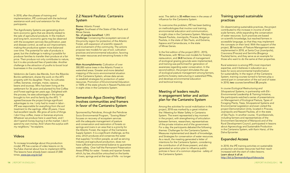In 2018, after the phases of training and implementation, IPÊ continued with the technical assistance work and rural extension for the participants.

The Agroforestry Systems are generating shortterm economic gains that are directly related to the sale of agricultural products. In the medium and long term, economic gains may be observed with the ecosystem services like pollination, pest and disease control, as well as soil improvement, making the productive system more balanced over time. The potential for sale of products is great, but the challenge is making it possible for producer families to transfer their produce at a fair price. Their produce not only contributes to nature, but it is also produced free of pesticides. Another challenge is the attraction of youths to boost local businesses in the countryside.

Valdomiro de Castro das Mercês, from the Ribeirão Bonito settlement, shares the work on the AFS property with his daughter. There, he cultivates coffee, bananas, oranges, maize, cassava, beans and soursop. Miro has been living at the settlement for 36 years and planted his first Coffee and Forest saplings ten years ago. Delighted with the process, he sees advantages in the savings brought to him and his family by the AFS. *"I*  agreed because the project brings significant advantages to me. I only had to invest in labor - *IPÊ was responsible for everything from the soil*  treatment to the saplings. After 20 years, I have had excellent results. We grow all sorts of things. I don't buy coffee, maize or bananas anymore. *Whatever we produce here is used here, and I*  don't spend money buying it at the market. I don't spend my own money. And I share the surplus with *my neighbors,"* he explains.

#### Videos

To increase knowledge about this production model, IPÊ has a series of video lessons on its YouTube channel about how to implement AFSs. The lessons have already been viewed 27,000 times. www.ipe.org.br/saf

#### 2.2 Nazaré Paulista: Cantareira System

Biome: Atlantic Forest Region: Southeast of the State of São Paulo and Minas Gerais.

No. of people benefited: 1,093

Challenge: Conserving the ecosystem services of this priority region for protection of the Atlantic Forest, with expansion of scientific research and involvement of the community. The actions propose new models for use of soil, cultivation practices and environmental education, favoring the water resources and remaining forests in the region.

Main Accomplishments: Cultivation of over 300,000 native trees in the Atlantic Forest in watershed areas. Greater and more detailed mapping of the socio-environmental situation of the Cantareira System, whose data serves to establish strategies for protection of water resources. Promotion of Environmental Education in 100% of the state schools in Nazaré Paulista and in eight cities in the Cantareira System.

#### Semeando Água (Sowing Water) involves communities and framers in favor of the Cantareira System

Rural extension is among IPÊ's most important expertise, and it believes in education as a basis for socio-environmental transformation for sustainability. In the region of the Cantareira System, training courses turned to farmers play a central part in conservation of the soil and of water. In 2018, two courses benefitted 35 people.

Sponsored by Petrobras, through the Petrobras Socio-Environmental Program, "Sowing Water" focuses on recovery of ecosystem services with the adequate management of pasture and conservation and restoration of forests on springs and rivers in an area that is a priority for the Atlantic Forest, the region of the Cantareira Supply System. It is a significant challenge, as this area, which produces and conserves the water that supplies 7.6 million people, as well as serving industry and agricultural production, does not have sufficient environmental balance to guarantee water safety. Over half the Permanent Preservation Areas (PPAs) for water - forests and riparian forests which, by law, should be untouched on the banks of rivers, springs and at the tops of hills - no longer

exist. The deficit is 35 million trees in the areas of influence for the Cantareira System.

To overcome this problem, IPÊ has been betting on methodologies that involve rural training, environmental education and communication, in eight cities in the Cantareira System: Mairiporã, Nazaré Paulista, Joanópolis, Piracaia, Bragança Paulista, in the state of São Paulo, and Extrema, Itapeva and Camanducaia, in the state of Minas Gerais.

In the first edition of the project (2013 - 2015), 15 hectares, with 10 low-cost models for forestry restauration, and 34.8 hectares of management of ecological grazing grounds were implemented, and training was performed for generation of awareness regarding water conservation. In the second edition, the project stimulates the use of ecological pasture management among farmers, performs forestry restructuring in watershed PPAs, and develops environmental education and technical training.

#### Meeting of leaders results in engagement letter and action plan for the Cantareira System

Among the activities for social mobilization in the project, 2018 was marked by a great initiative: the I Meeting for Water Safety in Cantareira System. The event represented a key moment in the project, with strengthening of articulation between farmers, researchers, representatives of the private initiative and of the government. For a day, the participants debated the following themes: Challenges for the Cantareira System, Measures implemented and dearth of knowledge, and Strategies for conservation of water resources. As a result, the meeting generated a letter of intentions for the Cantareira System, considering the contribution of all those present, and also generated an action plan to influence public policies in favor of a common objective - safety of the Cantareira System.

#### Training spread sustainable practices

On disseminating sustainable practices, the project contributed to the increase in income of smallscale farmers, while expanding the conservation of water resources. Such practices are based on scientific knowledge, but reached farmers in accessible language, so that they may implement the concepts on their land. With the support of the project, 35 hectares of Pasture Management were implemented in 2018, at Santa Cruz (Joanópolis), Cravorana (Piracaia) and Serrinha (Bragança Paulista) farms, and they serve as an example for those who want to do the same at their properties.

In course *Ecological Restructuring and Silvopastoral Systems*, in partnership with Elti - *Environmental Leadership & Training Initiative*, the participants watched a series of presentations on Management of Ecological Pasture, Types of Foraging Plants, Trees, Silvopastoral Systems and Environmental Legislation and even visited the project Demonstration Units, located in Piracaia, Joanópolis and Nazaré Paulista, all in the state of São Paulo. In another course, 15 professionals, including farmers and representatives of the Environment Secretariat of Mairiporã and of the Rural Development Council, participated in lessons about Agroecology and Sustainable Production in the Cantareira System, with Karin Hanzi, of the Dalva Epicenter.

#### Expanded Access

In 2018, the IPÊ training activities on sustainable production and water resources had their reach increased with the start of video-lessons. Learn about it all at: http://bit.ly/SemeandoAguaVideoaulas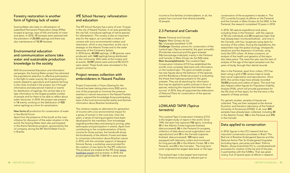#### Forestry restoration is another form of fighting lack of water

Sowing Water also bets on reforestation of watershed Permanent Preservation Areas (PPAs) located at springs, tops of hills and banks of rivers and dams. In 2018, 15 hectares were restored with the plantation of 25,000 saplings and there was also maintenance of 10.39 hectares.

#### Environmental education and communication actions take water and sustainable production knowledge to the society

With Environmental Education and information campaigns, the Sowing Water project has attracted the population's attention to effective participation in the fight to water scarcity. Be it participating in events related to agriculture and livestock farming in the cities involved in the project, be it through informative and educational material or events for distribution of saplings, the central idea is to take information to the largest possible number of people and for them to be able to reflect about water resources. In 2018, the project was present in 14 events, working on the distribution of 920 native saplings as a form for sensitization.

#### New forms of production for conservation of water in the World Forum

Apart from the presence of the booth at the main initiative for discussion of the water situation in the world, the Sowing Water team also participated in the Arena Petrobras program, sponsored by the oil company, during the 8th World Water Forum, in Brasília.

#### IPÊ School Nursery: reforestation and education

The IPÊ School Nursery has a story of over 15 years in the city of Nazaré Paulista. In an area granted by the city hall, it produces saplings of native species for reforestation. The nursery is also an important area for the region, as it provides a means of contact with socio-environmental matters and restoration, which is very important, as the city is strategic to the Atlantic Forest and to the water resources of the Cantareira System. In 2018 alone, 40,000 saplings, of 30 species, were produced, with 1680 saplings being distributed to the community. With sales at the nursery and at events, 10,987 plants were sold and R\$ 23,015 were raised. These funds were reinvested in the project community.

#### Project renews collection with embroiderers in Nazaré Paulista

Project Costurando o Futuro (Sewing for the Future) has been taking place since 2002 and is one of the proposals to minimize the pressure exerted on natural resources in the Nazaré Paulista region, expand the knowledge those participating have of the local environmental reality and disclose information about Brazilian biodiversity.

In 2018, 12 capture expeditions took place, including three in the Pantanal - with the capture of 12 new individuals and 20 recaptures (tapir that had already been monitored before) - and nine in the Cerrado, with four recaptures using darts for recovery of the collars. During the expeditions, the researchers map the spatial ecology, intraspecific iterations and the dispersion of animals, using tools like GPS collars. At these occasions, an analysis of the health and genetics of the tapirs also takes place. The news this year was the start of analysis of the age of the tapirs sampled over the years of study, through their dental records.

The initiative creates an alternative for generation of income with a low environmental impact for a group of women in the rural area. Over the years, a series of training programs have been developed for the members, from knowledge regarding embroidery and sewing to pricing, sales techniques and participation in events. Apart from contributing to the complementation of family income for those women, the handicraft shows the biodiversity of the Atlantic Forest and takes to consumers information about Brazilian nature. In 2018, with the volunteer support of designer Simone Nunes, a workshop was promoted for the creation of new items for the IPÊ collection. The products are traded at the IPÊ shop (www. lojadoipe.org.br) and at events. In 2018, the project generated R\$ 11,869.80 in extra annual

income to five families of embroiderers. In all, the project has a turnover that directly benefits 35 people.

#### 2.3 Pantanal and Cerrado

Biome: Pantanal and Cerrado Region: Mato Grosso do Sul No. of people benefited: 4,195 Challenge: Develop actions for conservation of the lowland tapir *(Tapirus terrestris)*, the giant armadillo *(Priodontes maximus)* and the giant anteater *(Myrmecophaga tridactyla)*, mainly in the Pantanal and Cerrado in Mato Grosso do Sul (MS) state. Main Accomplishments: The Lowland Tapir Conservation Initiative (LTCI) has established the world's most complete data bank with information on the lowland tapir. The giant armadillo project has new figures about the behavior of the species and the Bandeiras e Rodovias project is evaluating the threat that highways present to the giant anteater. They are all searching for information that may be applied to public policies in favor of species, reducing the impacts that threaten their survival. In 2018, they all supported the elaboration of National Plans for conservation of the species researched.

#### LOWLAND TAPIR *(Tapirus*  terrestris)

The Lowland Tapir Conservation Initiative (LTCI) is the largest study on tapirs in the world. Since 1996, the team has captured 156 tapirs, including 35 in the Atlantic Forest (captures finalized, data processed), 86 in the Pantanal (in progress, collection of data about social organization and reproduction) and 35 in the Cerrado (captures finalized, data processed). 100 tapirs were equipped with telemetry collars and monitored for long periods (25 in the Atlantic Forest, 52 in the Pantanal, and 23 in the Cerrado). The long-term work originated the largest data bank on the tapir.

The lowland tapir is the largest land mammal in South America and plays a relevant part in

conservation of the ecosystems it resides in. The LTCI currently focusses its efforts on the Pantanal and the Cerrado in Mato Grosso do Sul (MS). In the Pantanal, the research completed 10 years in 2018.

Also in the Pantanal, apart from collars, LTCI has been using a grid of 50 camera traps to study their social organization and reproduction. Since 2010, the camera traps have already recorded 18,000 pictures and videos of tapirs. The work has also helped collect figures for Population Viability Analysis (PVA), which will provide parameters for the life chart of free tapirs, for the first time in the research of these animals.

For genetic studies, samples of tissues are collected. They are then analyzed at the Animal Evolution and Genetics Laboratory of the Federal University of Amazonas (UFAM). In all, over 400 samples have already been collected, including 30 in the Atlantic Forest, 106 in the Pantanal and 370 in the Cerrado.

## Data applied to conservation

In 2018, figures in the LTCI research fed two important conservation processes in Brazil: The Red List of Brazilian Endangered Species and the National Action Plan for Endangered Ungulates (including tapirs, peccaries and deer). Patrícia Medici, whose brainchild LTCI is, coordinated both processes for creation of the list and of the plan, in partnership with the ICMBio. That was great victory, fruit of several years of efforts in research.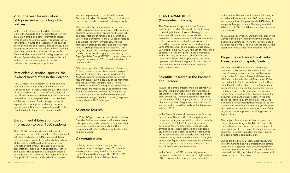In the year, LTCI finalized the data collection work in the Cerrado and worked intensely on the evaluation of this and other information raised throughout long years of work. Throughout 2019, for example, figures of a research on the conflict between humans and tapirs will be analyzed, in an attempt to understand the effect of illegal hunting and create actions for reduction of this conflict. Data in studies about roadkill on highways and the effects of pesticides, the main threats to the tapir in the biome, are already used in debates and establishment of public policies.

#### 2018: the year for evaluation of figures and actions for public policies

#### Pesticides: A sentinel species, the lowland tapir suffers in the Cerrado

An LTCI research disclosed in 2018 has revealed that tapirs are facing serious health risks in the Cerrado region in Mato Grosso do Sul. The result of the study boosted a "week of accusations" in the IPÊ and Initiative social media, with information on the risks posed by pesticides to the health of wildlife and humans. Brazil is the global leader in pesticide consumption and many chemical agents used in Brazilian crops are banned in other countries due to their risks to human health.

#### Environmental Education took information to over 1000 students

The LTCI also has an environmental education component as part of its work. In 2018, educational activities reached over 1000 students (children, adolescents and youths) in rural and urban schools, 25 farmers and 800 small-scale farmers in six land reform settlements. The activities includes presentations, distribution of educational leaflets and events. The educational curriculum created by the project, in partnership with Tapir Specialist Group SSC/IUCN was translated to Portuguese

and will be presented to the State Education Secretariat in Mato Grosso do Sul, for inclusion as part of the formal curriculum in primary schools.

The work with the tapir also reached around 2,000 undergraduate students and 300 graduate students in conservation programs, through talks and presentations at national and international universities. Furthermore, the LTCI has developed a complete Program for Veterinary Training focused on Brazilian students and professionals. In 2018, eight professionals participated. This year, the project also developed the exchange/ training professional program sponsored by the Tapir Specialist Group SSC/IUCN. In four years, this program has received 17 scholarship students from nine countries.

*"Participating in the TSG Fellowship allowed us*  to learn research protocols developed in over 20 years of LTCI work. Our experience during the field expeditions was fundamental to start our *research project on the ecology of the movement and the use of lowland tapir habitat in the*  Colombian region of Orinoquia. It also helped us *think about the importance of conducting work in a multidisciplinary manner, including the use of veterinary medicine in the development of evaluations on tapir health in the wild,"* explained Juliana Velez, a 2016 participant.

#### Scientific Tourism

In 2018, LTCI promoted talks to 45 visitors of the Baía das Pedras farm, where the Pantanal research takes place, and it also received volunteers from several zoos in the Netherlands, the United Kingdom and the United States for the Scientific Tourism program.

#### **Communications**

In Brazil, the word "anta" (tapir) is used to represent a less intelligent being. To fight this stereotype that is negative for the species, the LTCI released campaign #ANTAÉELOGIO (#TapirIsPraise) Follow it! @incab\_brasil

#### GIANT ARMADILLO (Priodontes maximus)

The Giant Armadillo project, in the Pantanal and Cerrado in Mato Grosso do Sul (MS), aims to investigate the ecology and biology of the species and to understand its working in the ecosystem to propose actions that may contribute to its conservation. It is the largest species of armadillo - reaching up to 150 cm and weighing up to 50 kilograms - and is currently classified as Vulnerable in the IUCN/SSC Red List of Threatened Species. In Brazil, the giant armadillo is present in the Amazon, the Pantanal, the Cerrado and the Atlantic Forest. For its protection, the project operates on different integrated fronts: scientific research, environmental education, training and communication.

### Scientific Research in the Pantanal and Cerrado

In 2018, one of the project's main objectives was accomplished: participation in the national red list and the creation of a National Action Plan for giant armadillos. This had been the target since the beginning of the project, in 2010. The action plan is composed of eight new objectives and 31 actions, and it should be ready for implementation in March 2019.

In the Pantanal, the work is executed at Baía das Pedras farm. There, in 2018, the target was to recapture the 7 giant armadillos that are currently under study. A total of 11 procedures were performed for GPS placement. Since 2010, 29 armadillos have been captured and monitored. Studies were also executed on the reproduction of the species, and they already show that male sexual maturity takes place between 7 and 9 years of age. This figure is relevant to understand more about the cycles of the species, as this is a rare animal that is extinct in some areas.

In the Cerrado, in 2018, six campaigns were performed in the field in the area of highway MS-040, to evaluate the density of giant armadillos

in the region. The work took place at 30 farms, in a total of 69 landscapes, with 180 camera traps and a total effort of approximately 5,400 days of sampling through cameras. The study resulted in 23 records (38%) in the 60 areas sampled, close to the highway.

At Cisalpina Reservation, another study area in the Cerrado, the field work to monitor the armadillo population continued. There, the giant armadillo has become a symbol. The work in the area will be expanded to new areas for monitoring in 2019.

#### Project has advanced to Atlantic Forest areas in Espírito Santo

The giant armadillo *(Priodontes maximus)* is restricted to few areas in Southeast Brazil. Less than 10 years ago, records of armadillos were found in the Sooretama Biological Reservation (RBS) and in the Vale Natural Reservation (RNV), both in Espírito Santo, as well as in the Rio Doce State Park (PERD), in Minas Gerais. As it is a rare animal, there is a chance that such areas may be the final refuges for the species in the Atlantic Forest. After a study at RBS, which confirmed the occurrence of giant armadillo dens in the area, as well as their use by other animals, the Giant Armadillo project extended its studies to the two reservations. Together, they cover 50,858 hectares and make up a continuous block with one of the largest and most important remaining forests in Espírito Santo.

The project objective was to learn more about the populations living in the Atlantic Forest, what their behavior is, and what their current state of conservation is. In the region, the team trained five students, 18 forestry guards in the reservations, two park directors and six firemen.

During the field work, 21 dens were found, and 18 of them started being monitored with camera traps. In all, 28 species were documented using the dens. However, only two giant armadillos were recorded. In 2019, the Atlantic Forest project will be expanded to other areas.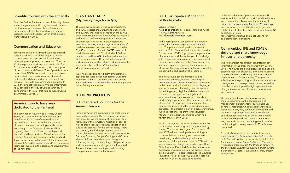### Scientific tourism with the armadillo

Baía das Pedras, Pantanal, is one of the only places where the giant armadillo may be seen in nature. For this reason, the project has established a partnership with the farm for development of a Scientific Tourism Program. Seven small groups were received in 2018.

#### Communication and Education

Taking information to a broad audience through several medias is part of the project strategy to popularize the giant armadillo and have more people supporting its protection. Thus, in 2018, the project produced a strategic plan for Communication and Education, with the support of the Houston and Chester Zoos. Specialists from universities, NGOs, zoos and private businesses participated. The idea is to expand the work that has already been under development over the years, now with environmental educators. In 2018, the project took environmental information to 20 schools in the city of Campo Grande, in partnership with ICAS (Instituto de Conservação de Animais Silvestres).

#### [American zoo to have area](https://ipe.org.br/ultimas-noticias/1513-zoologico-americano-tera-recinto-dedicado-ao-pantanal)  [dedicated to the Pantanal](https://ipe.org.br/ultimas-noticias/1513-zoologico-americano-tera-recinto-dedicado-ao-pantanal)

In six field expeditions, 44 giant anteaters were captured for radio-collar monitoring. Over 100 interviews with rural residents and truck drivers were performed to measure the perception people have of the giant anteater.

The centenarian Houston Zoo (Texas, United States) will have a series of celebrations and novelties in 2022. One of them will be the restoration of the zoo, with the inauguration of several new areas, including one dedicated exclusively to the Pantanal biome. And this is greatly due to the IPÊ and to the Tapir and Giant Armadillo projects, in Mato Grosso do Sul. Houston Zoo has been supporting the Lowland Tapir Conservation Initiative (LTCI) for 18 years and the Giant Armadillo project since 2013. The project teams are involved in the design and development of the new area.

#### GIANT ANTEATER (Myrmecophaga tridactyla)

Through the Bandeiras e Rodovias project, IPÊ and ICAS researchers are trying to understand and quantify the impacts of roads on the survival, population structure and health of giant anteaters and, thus, to define strategies for management of landscapes and roads to prevent potential extinction. In 2018, a total of 1,337 kilometers of roads were researched every two weeks, totaling 61,688 km covered. A total of 6,775 records of roadkill were recorded. This includes 1,060 sixbanded armadillos, 484 nine-banded armadillo, 271 lesser anteaters, 44 naked-tailed armadillos and six giant armadillos. Blood and tissue samples were also collected from 911 animals and 95 necropsies were performed.

#### 3. THEME PROJECTS

#### 3.1 Integrated Solutions for the Amazon Region

In the year, the events promoted included 18 events for initial mobilization with local institutions and communities, 16 courses for monitors, 5 returns to the community, 8 events, 20 meetings and workshops for identification of targets and establishment of protocols for local monitoring, 12 collections of data

Protected Areas are instruments for protection of Brazilian biodiversity. The environmental services they provide, like the supply of water and food, regulation of the climate, fertilization of soil, as well as green spaces for leisure, education and culture are essential for the entire society. There are currently 324 federal protected areas that cover all Brazilian biomes: Atlantic Forest, Amazon, Cerrado, Pantanal, Pampa, Caatinga and Coastal Marine. IPÊ has been developing integrated solutions, through partnerships, social participation and innovative models alongside the Protected Areas in the Amazon, aiming at collaborating to implementation and effectiveness.

The MPB project has already generated much information in the areas monitored from 2014 to 2018. The figures are being discussed and used in scientific research of species, in the improvement of knowledge on biodiversity and in sustainable management of forestry assets. They provide subsidies for the planning and improvement of the management of these protected areas, as well as directly contributing to the fight against climate change, the extinction of species, deforestation and poverty.

#### 3.1.1 Participative Monitoring of Biodiversity

Biome: Amazon Area of operation: 17 Federal Protected Areas (11,970,762.04 hectares) No. of people benefited: 1,864

In the Participative Monitoring of Biodiversity (MPB), the community plays a fundamental part. The project, developed in partnership with the Chico Mendes Institute for Biodiversity Conservation (ICMBio), proposes the generation of information and the exchange of knowledge with researchers, managers, and populations of federal Protected Areas in the Amazon and their surrounding areas regarding the importance of the local biodiversity for its effective protection, including the participation of all sectors.

The work covers several fronts: including integrated activities, technical meetings for presentation and generation of social awareness, mobilization and articulation of local players, as well as promotion of meetings and workshops for training using playful and didactic methods, collection of samples, and analysis and interpretation of data. As a result, data about biodiversity is generated. This data supports the elaboration of proposals for management of natural resources and helps in decision making processes. The project is part of a greater initiative, ICMBio's National Program for Biodiversity Monitoring (Programa Monitora), which had its fifth anniversary in 2018.

In all, 17 Protected Areas currently count on this participative monitoring, which is promoted by some 100 monitors each year. For this task, IPE and ICMBio have developed methodological routes with the community and researchers, developing models to be applied in the evaluation of the fauna and flora. In 2018, with the implementation of regional monitoring of Brazil Nuts, four new Protected Areas (including state ones) were incorporated into the project: Resex do Rio Cautário - Federal, Resex do Rio Cautário - Estadual, Resex do Lago Cuniã and Resex Rio Ouro Preto, all in the state of Rondônia.

for forestry monitoring and 5 collections for complementary monitoring.

#### Communities, IPÊ and ICMBio develop and share knowledge in favor of biodiversity

On expanding the participative processes, the project promotes the configuration of management agreements for sustainable use of natural resources, which are relevant to local residents. Today, they can count on broader and more real mapping of biodiversity conditions and of natural resources on which they directly or indirectly depend, and they od that into a way that adds income, becoming monitors after participating in training events. In 2018, 16 were promoted.

*"The studies are very important, but the work goes beyond the knowledge collected, as it also includes participation of the local population for*  the management of Protected Areas. Therefore, *it is fundamental to reach the Brazilian targets in the Biological Diveristy Convention and the Aichi Biodiversity Targets,"* says Cristina Tófoli, project coordinator.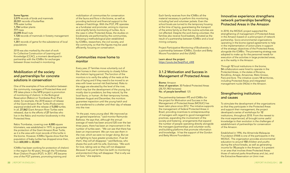#### Some figures:

3,579 records of birds and mammals 20,551 records of butterflies 775 water turtles 1,756 lumber plants 777 trees 23,095 Brazil nuts 1.720 records of mammals in forestry management areas 1,351 records of game for the subsistence of local populations

2018 was also marked by the start of work for Collective Construction of Learning and Knowledge (CCAC), a moment developed in partnership with the ICMBio for exchanges between those involved in monitoring.

#### Mobilization of the society and partnerships for concrete solutions in conservation

One of the examples of how articulation between the community, managers of Protected Area and IPÊ takes place in the MPB project is promotion of monitoring of chelonii. In the Biological Reservation (Rebio) on Trombetas River (Pará state), for example, the 2018 season of release of the Giant Amazon River Turtle *(Podocnemis expansa)* ended with the release of 5,050 turtles. In all, 27,862 Giant Amazon River Turtles were released, due to the efforts of 27 families who live in the Rebio and monitor biodiversity in this Protected Area.

Rebio Trombetas, covering over 4,000 square kilometers, was established in 1979, to guarantee the protection of the Giant Amazon River Turtle, as it is the area with most records of this turtle in the biome. However, ICMBio figures show that the population of baby turtles has dropped since then, from 600,000 to 30,000.

ICMBio has been working for protection of chelonii in the region for 40 years, through the Trombetas River Chelonii Project (PQT). In 2017, IPÊ became one of the PQT partners, promoting training and

mobilization of communities for conservation of the fauna and flora in the biome, as well as providing technical and financial support to the release of hatchlings. With the PQT, IPÊ operates as a fundraiser and promoter, aiming to improve and simplify family monitoring of turtles. As is the case in other Protected Areas, the studies on biodiversity are performed by the communities, following a methodological plan established by ICMBio, researchers, the civil society, and the community, so that the figures may be used efficiently, focusing on conservation.

#### Communities move home to monitor

Every year, 27 families move voluntarily out of their homes in their community to closely follow the chelonii laying period. The function of the monitors is to verify the safety of the nests at the site of laying and if they need to be moved to an area with lower survival risk (hatcheries). Risks to the eggs are elevated by the level of the river, which may bar the development of the young, but mostly due to predators, be they natural, by the local fauna, or human. At their temporary homes, between August and December, the monitors guarantee inspection until the young hatch and are transferred to a shelter until their day of release into the river.

"In the past, many young died. We improved as *we gained experience,"* said monitor Raimundo Barbosa. He says that, although the annual average of nests has been around 520 over the last three years, there has been an improvement in the number of turtles seen. *"We can see that there has*  been an improvement. We can now see them in the river, which we were no longer doing. But we are fighting to have greater production. If we let *them, they will all disappear,"* said Barbosa, who shares the work with his wife, Dulcineia. *"We work*  for love, taking care so they will not disappear. *Because if we just let them be (with no monitoring*  and protection) they will disappear. That is why we *are here,"* she explains.

Each family receives from the ICMBio all the material necessary to perform this monitoring, including fuel and volunteer jackets. Even the school boats are turned to the temporary housing at the time of laying, guaranteeing the transport of the entire family so that the routine activities are not affected. Despite the work being volunteer, the families also receive food baskets, donated as the result of a partnership between ICMBio and a local mining company.

Project Participative Monitoring of Biodiversity is a partnership between ICMBio, Gordon and Betty Moore Foundation and the USAID.

Learn about the project https://youtu.be/5eqUFzd\_nW8

#### 3.1.2 Motivation and Success in Management of Protected Areas

#### Biome: Amazon Area of operation: 30 Federal Protected Areas (28,701,983 hectares) No. of people benefited: 125

The partnership between IPÊ and ICMBio for the project for Motivation and Success in the Management of Protected Areas (MOSUC) has been takin place since 2012. The initiative supports the management of federal Protected Areas in Brazil, providing incentives to entrepreneurship of managers with regard to good management practices, expanding the involvement of the society and fostering arrangements that expand the number of people operating directly alongside the managers (partnerships and volunteer work), and building platforms that promote information and knowledge. It has the support of the Gordon and Betty Moore Foundation.

#### Innovative experience strengthens network partnerships benefiting Protected Areas in the Amazon

In 2018, the MOSUC project supported the strengthening of management of Protected Areas in the Amazon based on a pilot project of network partnership. Socio-environmental organizations operating in the biome signed agreements to help in the implementation of action plans in support of the strategic objectives of the Protected Areas, alongside the ICMBio. The pioneering strategy was adopted to make up for the personnel needs for execution of the activities in large protected areas, as is the reality in the Amazon.

Through 12 local institutions in the biome, 54 collaborators were hired to operate in the Protected Areas, in the states of Roraima, Rondônia, Amapá, Amazonas, Mato Grosso, Pará and Acre. The initiative covers 14 territories, including Protected Areas and integrated management nuclei (NGIs) in the Amazon.

#### Strengthening institutions and causes

To stimulate the development of the organizations so that they participate in the Protected Areas and support their management, the project developed a series of workshops for 12 institutions, throughout 2018. From the newest to the most experienced, all brought some useful knowledge to their evolution in the challenges of establishment of partnerships for conservation of the Amazon.

Established in 1996, the Almerinda Malaquias Foundaiton (FAM) is one of the participants in the MOSUC. The organization provides environmental education to around 150 children and youths during the school breaks, as well as generating income for 70 people in the Amazon. It is present in an area that involves three Protected Areas: those of national parks Anavilhanas and Jaú, and the Extractive Reservation on Unini river.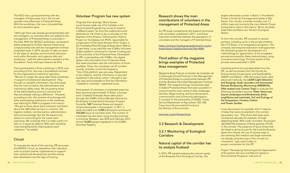The NGO has a good partnership with the managers of these areas, but it did not yet operate more effectively in Protected Areas. With the workshops, the vision of possibilities for joint operation grew.

*"Although there was already good partnership with the managers, our activities were not related to the management of Protected Areas or practices in*  the field. With the MOSUC workshops, we became *better prepared to further improve institutional companionship ties with the management of these*  protected areas. In 2019, we plan to take our team *to the areas to develop environmental education work within the parks, and organize talks and workshops,"* said the administrative assistant at the foundation, Paulo Henrique Queiroz da Silva.

Paulo participated in three workshops in 2018, and, according to him, that was a thunderbolt moment for the organization's method of operation. *"We are no longer the same after these workshops*  in support of institutional development. They brought us valuable information, like techniques *that are more turned to the administrative and*  institutional safety areas. We are putting some *of the administrative actions in practice and*  they are already making a difference." However, according to him, the moment of exchange with other participating institutions at the workshop was inspiring for FAM to progress in its mission. *"We got to know about each institution and learnt*  about the difficulties we have in common, like *logistics matters, communication, administration,*  technical knowledge. But the life lessons and *lessons in overcoming for the cause were*  surprising. We could see that it is really worth it to take on a cause we defend. With each workshop *I was strengthened by hearing about each institution,"* he added.

To evaluate the result of the training, IPÊ promotes the MOSUC Circuit, an expedition with individual visits to project partner organizations to support their institutional development and the activity plan developed over the days of training.

#### Volunteer Program has new system

#### 3.2.1 Monitoring of Ecological **Corridors**

Originally from Ipatinga, Minas Gerais, Lucas Soares made use of his holidays in his Environmental Engineering course to travel to a different beach, far from the traditional tourist destinations. He chose to be a volunteer on the beaches of the Amazon, following the Chelonii Project on Trombetas river (PQT), responsible for conservation of the Giant Amazon River Turtles, in the Trombetas River Biological Reservation (Rebio). To get there, Lucas used the new ICMBio Volunteer System platform, showing his interest in being part of the activities of the Protected Area. Developed by IPÊ, in partnership with ICMBio, the digital system links information from Protected Areas that need volunteers with the information of those available. There, the volunteers can fill out their records, and also control the frequency. "Use of the platform was very easy. Registration *is very didactic, and the information is very well*  explained in the calls to action. I thought it was very easy and accessible to find the information *I needed to volunteer,"* explained Lucas.

Participation of volunteers in protected areas has been growing exponentially. In Brazil, volunteer work in federal Protected Areas takes place through the ICMBio (Chico Mendes Institute for Biodiversity Conservation) Volunteer Program. Currently, 168 Protected Areas and research centers participate in the program. In 2017, a study recorded over 2,200 participants and around 103,000 hours of volunteer work. The number of volunteers has also been rising and the potential is immense. Between July 2018 and February 2019, almost 10,000 people registered in the ICMBio Volunteer Registry.

#### Research shows the main contributions of volunteers in the management of Protected Areas

An IPÊ study complements the research promoted with volunteers, published in 2017, and shows important similarities between the perception of volunteers and the managers of Protected Areas.

https://eventos.fundacaogrupoboticario.org.br/ Anais/Anais/TrabalhosTecnicos?ids=4686

#### Third edition of the magazine brings examples of Protected Area management

Magazine Boas Práticas na Gestão de Unidades de Conservação (Good Practices in the Management of Protected Areas) is a partnership between IPÊ and the Brazilian Municipal Management Institute (IBAM). The magazine brings 76 practices used in federal Protected Areas that were successful in overcoming the most varied of daily challenges, like fires, illegal hunting, territory demarcation, communication and community participation. It counted on the partnership of USAID, Forest Service Department of Agriculture, GIZ, IDB, Caixa Socio-Environmental Fund and the Ministry of Environment.

#### www.ipe.org.br/boaspraticas

#### 3.2 Research & Development

#### Natural capital of the corridor has its analysis finalized

In 2015, IPÊ started analyzing the natural capital of the Rosanela Farm Ecological Corridor, the

#### **Circuit**

largest reforested corridor in Brazil, in the Atlantic Forest in Pontal do Paranapanema (state of São Paulo). The corridor currently includes over 2.7 million trees and connects the main Atlantic Forest Conservation Units in the interior: Morro do Diabo State Park and Black Lion Tamarin Ecological Station.

To form this corridor, IPÊ counted on several partners, including some in the private initiative, like CTG Brasil, in its revegetation programs. The company went beyond restoration and supported the Institute's project for development of a methodology for appreciation of the ecosystem services promoted by these restored areas, using innovative technology. The final results of this process were presented in 2018.

Including technicians and specialists from the IPÊ, as well as scholars from the Faculty for Environmental Conservation and Sustainability, UNESP and ESALQ - USP, the project team used advanced methods, like LiDAR (Light Detection and Ranging), Audio recorders and Automated Remote Biodiversity Monitoring (ARBIMON), DNA analysis and Camera Traps to evaluate the following ecosystem services: Water Resources, Sound Landscapes and Biodiversity (birds, amphibians and mammals), Soil and Ecology of the Ecosystems, Forestry Carbon and Flower Studies.

It was discovered, for example, that 17 species of trees that were not planted in the corridor are present now. *"This shows that trees were introduced naturally, for example, through*  dispersing birds. With audio recorders, the project identified the presence of these species of birds in the corridor. The presence of fauna shows that the forest is doing its part for the local biodiversity. *Apart from threes, the use of camera traps is also showing that medium and large mammals are already using the area of the corridor for movement,"* says Laury Cullen Jr, project coordinator for the IPÊ.

Project "Developing Technologies for Appreciation of Ecosystem Services and Natural Capital in Environmental Programs" was one of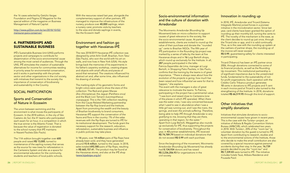the 16 cases selected by Getúlio Vargas Foundation and Página 22 Magazine for the special edition of the magazine on Business Management of Natural Capital.

http://www.p22on.com.br/en/2018/10/02/ mensurar-para-conservar/

#### 4. PARTNERSHIPS AND SUSTAINABLE BUSINESS

IPÊ's Sustainable Business Unit (UNS) performs projects and campaigns to contribute for dissemination of the socio-environmental cause among the most varied of audiences. Through the UNS, IPÊ stimulates the creation of sustainable alternatives for income for communities residing in priority areas for environmental conservation, and it works in partnership with the private sector and other organizations in the civil society, with initiatives that transmit to the society the importance of conservation of biodiversity and sustainability in the Country.

#### SOCIAL PARTICIPATION

#### Sports and Conservation of Nature in Ecoswim

The union between swimming and the environment is what moves the participants of Ecoswim. In the 2018 edition, in the city of São Caetano do Sul, the 41 teams who participated each swam for an hour, in a competition in which the true winner is the Atlantic Forest. That is because the value of registration is donated to the school nursery that IPÊ maintains in Nazaré Paulista (São Paulo).

The 11th edition brought together over 600 people and raised R\$ 13,000, turned to maintenance of the sapling nursery that serves as the source for new trees for reforestation in the Cantareira System and also as a space for environmental education for the community, students and teachers of local public schools.

In 14 years, over 14 million pairs of flip-flops have already been sold, and they have generated around R\$ 8 million, turned to the cause. In 2018, sales totaled 692,580 pairs of flip-flops, resulting in R\$ 665,157.41. The product may be found at the Havaianas stores, and also at the IPÊ shop (www.lojadoipe.org.br)

With the resources raised last year, alongside the complementary support of other partners, IPÊ managed to improve the infrastructure of the nursery, produce over 40,000 saplings, retain a nursery carer, promote visits by teachers to the area and donate saplings in events, like the Ecoswim itself.

#### Environment and fashion go together with Havaianas-IPÊ

The new 2018/2019 Havaianas-IPÊ collection was designed by artist Arlin Graff, Brazilian, from Tatuí (São Paulo), who won the world with his art on walls, and now lives in New York (USA). His style brings back the memories of his experiments in his father's carpentry workshop, creating shapes and objects with small offcuts and pieces of wood that remained. The creations influenced his abstract art and, after some time, also influenced his drawing of animals.

The marking style of his geometric forms and bright colors were used to show the stars of this collection: The Red-and-green Macaw *(Ara chloropterus)*, the Jaguar *(Panthera onca)* and the Black Lion Tamarin *(Leontopithecus crysopygus)*. This is the 15th collection resulting from the Cause Related Marketing partnership between the flip-flop brand and the Institute. Apart from promoting the wealth and the beauty of Brazilian biodiversity to brand consumers, Havaianas-IPÊ support the conservation of the fauna and flora in the country: 7% of the sales revenues with the flip-flops are turned to IPÊ for its institutional development. The funds grant the necessary support for the research, education, reforestation, sustainable business and influence in public policies may take place.

The event with the managers is also of great relevance to motivate the teams. To Patrícia, participating in the project has a sentimental value. *"I was born and raised close to Cantareira (one*  of the places in which IPÊ operates). When there *was the water crisis, I was very concerned because what I used to see in abundance when I was a little girl was running out, and I saw the rivers, the*  springs, and even the animals suffering. Therefore, *being able to help IPÊ through Arredondar is very gratifying to me, knowing that they are there,*  operating in that region, for the water." Apart from Luigi Bertolli, Meggashop also rounds up exclusively for IPÊ, thus supporting the projects for conservation of biodiversity. Throughout the year, in 43 partner establishments, IPÊ received R\$ 74,789.79 based on individual donations that do not exceed R\$ 0.99 with each purchase.

#### Innovation in rounding up

In 2018, IPÊ, Arredondar and Tricard (Sistema Integrado Martins) joined forces in a pioneer initiative in the microdonation sector. Since last year, card clients have been granted the option of rounding up their monthly bill, turning the cents to IPÊ. The novelty of the mechanism is the ease, as the client decides to round up just once, through the Tricard site or app, and it is valid continually. Thus, as is the case with the rounding up system at the cashiers of partner shops, the rounding up of the invoice will never exceed R\$ 0.99, guaranteeing safety for clients interested in participating.

Tricard (Tribanco) has been an IPÊ partner since 2006, through donations connected to some of its financial products, as well as the Rounding Up movement. This institutional partnership is of significant importance due to the unrestricted funds, fundamental to the sustainability of not for profit organizations. Each operation with the Crédito Certo Tribanco product generates 10 cents in donations to IPÊ projects and 1 cent in each invoice paid at Tricard is also turned to the strengthening of the Institute. In 2018, donations totaled R\$ 66,519.95 through this kind of support.

#### Other initiatives that simplify donations

Initiatives that stimulate donations to socioenvironmental causes have grown in recent years. This is the case with the Turista+ project, an initiative of Atibaia & Região Convention Visitors Bureau (AR&CVB), which celebrated two years in 2018. With Turista+, 20% of the "room tax" (a volunteer donation by the guest) is turned to IPÊ. Apart from contributing to research, studies and to the environmental actions of the Institute, those who decide to make the small contribution are also covered by a special insurance against personal accidents during their stay. In the year, 16,739 people decided to pay the "room tax" and R\$ 7,339.83 were turned to IPÊ. The initiative includes hotels Tauá, Atibaia Residence and Pousada Paiol.

#### Socio-environmental information and the culture of donation with Arredondar

The Movimento Arredondar (Rounding Up Movement) bets on micro-collection to support causes of great relevance to the society, like the socio-environmental cause. At partner establishments, clients are invited to round up the value of their purchase and donate the "rounded up" cents to Brazilian NGOs. The fifth year of IPÊ participation in the Rounding Up project was marked by a series of talks by the team at five Havaianas shops and in 16 Luigi Bertolli shops, which round up exclusively for the Institute. In all, 287 people participated in the talks. Patricia Esperidião de Lima, manager at Luigi

Bertolli, in Shopping Patio Paulista, in São Paulo, confirms that the training by the teams is of great importance. *"There is always news about how the evolution of the projects is going, how much has*  been raised and how influential we were for that to *happen,"* she explains.

Since the beginning of the movement, Movimento Arredondar (Rounding Up Movement) has already had 8,134,934 donors and has raised R\$ 2,236,206.93 for organizations in the civil society.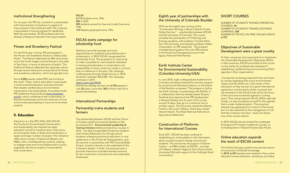### Institutional Strengthening

For six years, the IPÊ has counted on a partnership with Crescimentum Consultoria in support of improvement of the Institute's staff. The company is specialized in training people for leadership. With the partnership, 35 IPÊ professionals have already undergone important training processes.

#### Flower and Strawberry Festival

For the third year running, IPÊ participated in the Flower and Strawberry Festival in Atibaia (São Paulo). The festival celebrated its 38th anniversary and is the fourth largest cultural festival in the state of São Paulo, in terms of attraction of public. This traditional festival celebrates the Japanese culture through several attractions and products for flower and strawberry cultivation, which are typically local.

#### **ESCAS** 6,713 students since 1996, 280 in 2018 300 students served for free and mostly free since 1996 133 Masters graduated since 1996

Some 4,000 people visited IPÊ's two booths at the event. There, visitors were able to participate in environmental education activities and had their doubts clarified about environmental conservation and sustainability. At another booth, IPÊ traded the shop products (www.lojadoipe. org.br), which contribute to the conservation of Brazilian biodiversity and to the revenues of local communities participating in socio-environmental projects.

#### 5. Education

Education is in the IPÊ's DNA. With ESCAS, the Faculty for Environmental Conservation and Sustainability, the Institute has taken education turned to transformation of the socioenvironmental reality in Brazil and worldwide to a larger and larger number of people. The institution offers short courses, Professional Masters and MBAs, with a multidisciplinary outlook, seeking to engage more and more professionals in social segments with the principles of sustainability and conservation.

### ESCAS starts campaign for scholarship fund

Seeking to provide leverage and more opportunities for students and professionals in conservation, in 2018, ESCAS inaugurated the Scholarship Fund. The proposal is to raise funds to make it possible for new students interested in training and education in conservation and sustainability to have a chance to study in a school that is a reference in the area. The campaign is taking place through Global Giving. In 2018, donations reached US\$ 8,000. The campaign continues in 2019.

#### https://goto.gg/35036

ESCAS has already trained over 6,700 people in over 20 years, more than 300 of them with full or partial scholarships.

#### International Partnerships

#### Partnership trains students and farmers

The partnership between ESCAS and the School of Forestry and Environmental Studies at Yale University's ELTI - Environmental Leadership & Training Initiative (USA) promoted two courses in 2018 - one about Sustainable Productive Systems and Forestry Restoration for 20 high school students undergoing technical education in rural settlements in the Pontal do Paranapanema, and the second, in partnership with IPÊ's Sowing Water Project, turned to farmers in the watershed of the Cantareira System. In both, the proposal was to promote interaction and demonstrate solutions for the construction of productive and sustainable landscapes.

#### Eighth year of partnerships with the University of Colorado Boulder

2018 was the eighth year running of the "Conservation Biology in Brazil's Atlantic Forest Global Seminar" - a partnership between ESCAS and the University of Colorado. The course included the participation of 14 Biology and Ecology students, with professor Timothy Kittel, from the University, and assistant professor Rafael Chiaravalloti, an IPÊ researcher. The program included learning about the main IPÊ projects in the Pontal do Paranapanema and in the Iguaçu National Park (Paraná).

#### Earth Institute Center for Environmental Sustainability (Columbia University/USA)

In June 2018, eight undergraduate students from Columbia University entered the summer program for practical and theoretical lessons on the theme of the Brazilian ecosystem. This program is led by the Earth Institute, in partnership with ESCAS, in a collaboration that has already lasted 18 years. Students have lessons at the IPÊ headquarters in Nazaré Paulista and, for part of the course, around 10 days, they go on a technical visit to another region. This time they visited the Atlantic Forest in the south of Bahia, where they visited Veracel Station, Pau Brasil National Park and an Agricultural Settlement.

#### Construction of Platforms for International Courses

Since 2017, ESCAS has been working on establishing an online platform with information about courses turned to foreign schools and students. This activity has the support of Steven Carlson - an MBA student at ESCAS -, and also of Professor LaDawn Haglund, from Arizona State University/USA (with support of the Fulbright Brazil Commission).

#### SHORT COURSES

NUMBER OF STUDENTS TRAINED (PRESENTIAL COURSES): 44 NUMBER OF STUDENTS TRAINED (DISTANCE LEARNING): 208 NUMBER OF PEOPLE ON FREE ONLINE EVENTS: 6.755

#### Objectives of Sustainable Development were a great novelty

To help companies and organizations to implement the Sustainable Development Objectives (SDOs) in their practices, ESCAS promoted its first course on the matter for professionals interested in establishing, implementing and monitoring SDOs agendas in their organizations.

*"Companies are being pressured more and more by society regarding their socio-environmental*  impact and the SDOs are in the center of this *discussion as they are part of a great international agreement, sanctioned by all the countries that are members of the UN and that will be the focus of the socio-environmental agenda in coming*  years. Thus, being aligned with the SDOs, specially *locally, is a way to prepare yourself for the agenda*  that is under implementation. This proactive *attitude may generate fruit in terms of the brand, but it is also essential for the management of risk that the company may face,"* said Carol Ayres, one of the course trainers.

In 2018, ESCAS also promoted the Landscape Ecology and R Program traditional courses, at its headquarters in Nazaré Paulista (São Paulo).

#### Online education expands the reach of ESCAS content

The Online Education platform boosts the actions for promotion of ESCAS knowledge. In 2018, 6,547 people were assisted in free online education events (webinars, workshops and talks).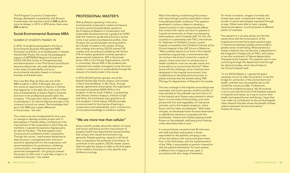The R Program Course for Conservation Biology, developed in partnership with Bocaina Conservação, has reached a total of 528 students since its release, in 2015. In 2018 alone, there were 208 students.

#### Social-Environmental Business MBA

#### NUMBER OF STUDENTS TRAINED: 15

In 2018, 15 students participated in the Socio-Environmental Business Management MBA. Promoted by ESCAS, at its headquarters in Nazaré Paulista (São Paulo), the course has pedagogical support of ARTEMISIA Negócios Sociais and CEATS-USP (the Center for Entrepreneurship and Administration in the Third Sector) and attracts several professionals, who seek development in the areas of sustainability and socioenvironmental education based on inclusive business and shared value.

Ana Luiza Reis Rosa da Silva was one of the MBA students in 2018. A Biologist, she saw in the course an opportunity to improve in themes that helped her in the daily life in her work in the area of Sustainability at Suzano Papel e Celulose, and even in her professional growth within the company. *"Through what I learnt at IPÊ I managed to participate in an internal selection process in the*  company to boost my career. The knowledge that I *got in the MBA was a great differential in this process,"* she said.

With professors operating in the socioenvironmental conservation market and lessons turned to practical sustainability questions, the Professional Master's in Conservation and Sustainable Development has a grade 4 at CAPES (with the maximum grade being 5) and is turned to the most varied of professional profiles. Over 11 years, the course has been showing itself to be a divider of waters in the careers of those who undergo the training. ESCAS trained 113 masters and, according to studies by the School, 41% of masters graduated currently operate in governmental institutions, 32% in the private sector, 25% in Civil Society Organizations, and 2% in universities. Almost 40% of the students who underwent the masters managed to enter the work market in conservation or sustainability through the network of contacts made in the course.

The content was also fundamental for Ana Luiza to manage to develop another project with 31 bee keepers in Paraíba Valley, contributing to the improvement of the cooperative in which they are members, Coapvale (Cooperativa Agropecuária do Vale do Paraíba). *"The bee keepers were*  living economic problems at their cooperative. *Through the course, I used several disciplines to help structure a management plan and socioeconomic development for the cooperative, with recommendations for governance, marketing, communication, management structure and*  personnel management. I am going to present *the project to them and, in case they accept it, to implement the plan,"* she added.

#### PROFESSIONAL MASTER'S

In 2018, ESCAS had two groups, one at the Nazaré Paulista (São Paulo) campus, and another in Serra Grande (Bahia). In São Paulo, through awards, agreements and projects, the organization provided scholarships (WWF-EFN) to five students. In the far south of Bahia, in partnership with Veracel, Instituto Arapyaú, Instituto Cargill and Fibria, full scholarship were granted to all nine students. In both places, ESCAS provides an environment for the sharing of learning in conservation and sustainability, and in construction of innovative knowledge to transform realities.

#### "We are more tree than cellular"

Some scientific studies about the relation of nature and human well-being and the improvement of people's health have reported the several benefits that contact with natural environments may generate. Despite growing, research is still timid when compared to the potential of the theme. To contribute to this question, ESCAS master Juliana Gatti brought this subject to light as the final paper of her master's, focusing on a very specific area, children's oncology.

What if this feeling of well-being that contact with nature brings could be expanded to those living delicate health conditions? The question generated in Juliana a desire to develop a research project to start measuring the effects that contact with nature can have on patients in hospital environments, to those accompanying these patients, and to hospital staff. For this, she counted on a partnership with ITACI, the Institute for Treatment of Children's Cancer, a public hospital connected to the Children's Institute at the Clinical Hospital of the USP School of Medicine. *"Many patients spend much time in the hospital, sometimes long periods, in environments that do not favor this kind of contact for a series of*  reasons. Some even have no windows due to health conditions. How can we take nature and its benefits to an environment like this?" When faced with this challenge, some initiatives were developed in the hospital environment, from modifications to the physical environment, to playful activities that she started calling TAN (Therapy for Appreciation of Nature) in her studies.

The tree coverage in the hospital surroundings was expanded, with exotic species, and the number of trees planted on the sidewalk rose from five to 21. In the hospital yard, flowers were planted to attract fauna. In some areas of the building, pots were placed with fruit and vegetables, for interactive activities, and in the hospital reception, native flower and fruit trees are displayed. *"With these changes, we developed some focused observation to identify the interaction of people with this*  biodiversity. Parents and children playing amidst flowers on the sidewalk, staff eating and chatting *under jabuticaba trees in pots…"*

In a second phase, we performed 30 interviews with staff members and parents or those responsible for the patients, bringing a view of how the relation with nature took place there. And, in the third phase, with the implementation of the TANs, it was possible to perform interaction with the patients themselves. For each patient, a different form of approach was used, in accordance with their stage of treatment.

For those in isolation, images of animals and forests were used, in plasticized material, and sounds of nature were played, equalized through an app. Others were able to have a greater sensorial perception, touching leaves of different plants, for example.

The research is in its early phase, but the first results show that the humanization of the hospital environment have given positive signs in interactions between people and provided a greater sense of well-being. What started as a master's research has now become a department in the Integrative Therapy Unit at ITACI, and Juliana is now the coordinator of Nature Appreciation Therapies at the hospital. The research work is now continuing through the department and through her doctoral studies, which she will take at the Clinical Hospital itself.

*"In my ESCAS Master´s, I gained the space*  necessary to put my idea into practice. It was the *bridge for connection of the environment and health, and that was only possible due to the*  model the course provides. Furthermore, I found my professional space. My life purpose *is now to provide this kind of link between patients in hospitals and nature, as a way to recover their*  health and expand human well-being. I hope that *I can make my contribution to the world alongside*  other research that also shows the benefit of these *relations between humans and nature,"* finishes off Juliana.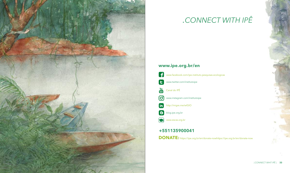

## *.CONNECT WITH IPÊ*

## www.ipe.org.br/en



DONATE: https://ipe.org.br/en/donate-nowhttps://ipe.org.br/en/donate-now



| CONNECT WHIT IPÊ | 33

## +551135900041